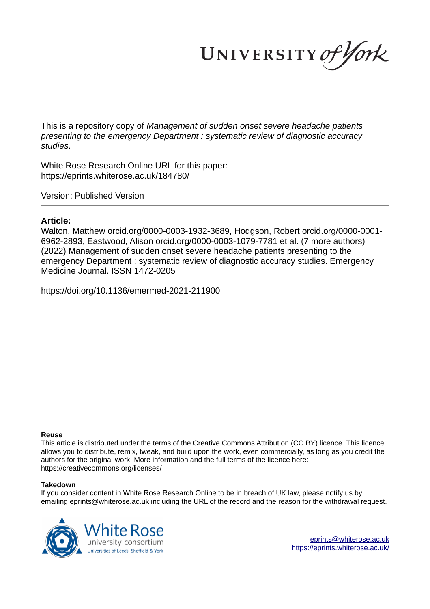UNIVERSITY of York

This is a repository copy of *Management of sudden onset severe headache patients presenting to the emergency Department : systematic review of diagnostic accuracy studies*.

White Rose Research Online URL for this paper: https://eprints.whiterose.ac.uk/184780/

Version: Published Version

# **Article:**

Walton, Matthew orcid.org/0000-0003-1932-3689, Hodgson, Robert orcid.org/0000-0001- 6962-2893, Eastwood, Alison orcid.org/0000-0003-1079-7781 et al. (7 more authors) (2022) Management of sudden onset severe headache patients presenting to the emergency Department : systematic review of diagnostic accuracy studies. Emergency Medicine Journal. ISSN 1472-0205

https://doi.org/10.1136/emermed-2021-211900

## **Reuse**

This article is distributed under the terms of the Creative Commons Attribution (CC BY) licence. This licence allows you to distribute, remix, tweak, and build upon the work, even commercially, as long as you credit the authors for the original work. More information and the full terms of the licence here: https://creativecommons.org/licenses/

## **Takedown**

If you consider content in White Rose Research Online to be in breach of UK law, please notify us by emailing eprints@whiterose.ac.uk including the URL of the record and the reason for the withdrawal request.

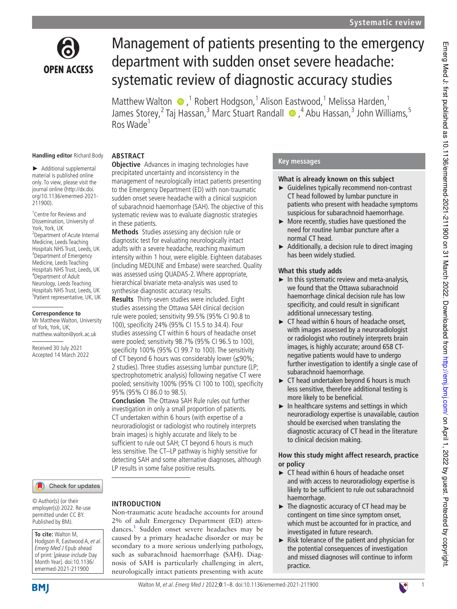

# Management of patients presenting to the emergency department with sudden onset severe headache: systematic review of diagnostic accuracy studies

Matthew Walton  $\bullet$ ,<sup>1</sup> Robert Hodgson,<sup>1</sup> Alison Eastwood,<sup>1</sup> Melissa Harden,<sup>1</sup> James Storey,<sup>2</sup> Taj Hassan,<sup>3</sup> Marc Stuart Randall • 4 Abu Hassan,<sup>3</sup> John Williams,<sup>5</sup> Ros Wade<sup>1</sup>

#### **Handling editor** Richard Body

► Additional supplemental material is published online only. To view, please visit the journal online (http://dx.doi. org/10.1136/emermed-2021-211900).

1 Centre for Reviews and Dissemination, University of York, York, UK 2 Department of Acute Internal Medicine, Leeds Teaching Hospitals NHS Trust, Leeds, UK <sup>3</sup>Department of Emergency Medicine, Leeds Teaching Hospitals NHS Trust, Leeds, UK 4 Department of Adult Neurology, Leeds Teaching Hospitals NHS Trust, Leeds, UK 5 Patient representative, UK, UK

## **Correspondence to**

Mr Matthew Walton, University of York, York, UK; matthew. walton@ york. ac. uk

Received 30 July 2021 Accepted 14 March 2022

## Check for updates

© Author(s) (or their employer(s)) 2022. Re-use permitted under CC BY. Published by BMJ.

#### **To cite:** Walton M, Hodgson R, Eastwood A, et al. Emerg Med J Epub ahead

of print: [please include Day Month Year]. doi:10.1136/ emermed-2021-211900

# **BMI**

## **ABSTRACT**

**Objective** Advances in imaging technologies have precipitated uncertainty and inconsistency in the management of neurologically intact patients presenting to the Emergency Department (ED) with non-traumatic sudden onset severe headache with a clinical suspicion of subarachnoid haemorrhage (SAH). The objective of this systematic review was to evaluate diagnostic strategies in these patients.

**Methods** Studies assessing any decision rule or diagnostic test for evaluating neurologically intact adults with a severe headache, reaching maximum intensity within 1 hour, were eligible. Eighteen databases (including MEDLINE and Embase) were searched. Quality was assessed using QUADAS-2. Where appropriate, hierarchical bivariate meta-analysis was used to synthesise diagnostic accuracy results.

**Results** Thirty- seven studies were included. Eight studies assessing the Ottawa SAH clinical decision rule were pooled; sensitivity 99.5% (95% CI 90.8 to 100), specificity 24% (95% CI 15.5 to 34.4). Four studies assessing CT within 6 hours of headache onset were pooled; sensitivity 98.7% (95% CI 96.5 to 100), specificity 100% (95% CI 99.7 to 100). The sensitivity of CT beyond 6 hours was considerably lower (≤90%; 2 studies). Three studies assessing lumbar puncture (LP; spectrophotometric analysis) following negative CT were pooled; sensitivity 100% (95% CI 100 to 100), specificity 95% (95% CI 86.0 to 98.5).

**Conclusion** The Ottawa SAH Rule rules out further investigation in only a small proportion of patients. CT undertaken within 6 hours (with expertise of a neuroradiologist or radiologist who routinely interprets brain images) is highly accurate and likely to be sufficient to rule out SAH; CT beyond 6 hours is much less sensitive. The CT–LP pathway is highly sensitive for detecting SAH and some alternative diagnoses, although LP results in some false positive results.

## **INTRODUCTION**

Non- traumatic acute headache accounts for around 2% of adult Emergency Department (ED) attendances.<sup>1</sup> Sudden onset severe headaches may be caused by a primary headache disorder or may be secondary to a more serious underlying pathology, such as subarachnoid haemorrhage (SAH). Diagnosis of SAH is particularly challenging in alert, neurologically intact patients presenting with acute

## **Key messages**

#### **What is already known on this subject**

- ► Guidelines typically recommend non-contrast CT head followed by lumbar puncture in patients who present with headache symptoms suspicious for subarachnoid haemorrhage.
- ► More recently, studies have questioned the need for routine lumbar puncture after a normal CT head.
- $\blacktriangleright$  Additionally, a decision rule to direct imaging has been widely studied.

## **What this study adds**

- $\blacktriangleright$  In this systematic review and meta-analysis, we found that the Ottawa subarachnoid haemorrhage clinical decision rule has low specificity, and could result in significant additional unnecessary testing.
- ► CT head within 6 hours of headache onset, with images assessed by a neuroradiologist or radiologist who routinely interprets brain images, is highly accurate; around 658 CTnegative patients would have to undergo further investigation to identify a single case of subarachnoid haemorrhage.
- $\triangleright$  CT head undertaken beyond 6 hours is much less sensitive, therefore additional testing is more likely to be beneficial.
- ► In healthcare systems and settings in which neuroradiology expertise is unavailable, caution should be exercised when translating the diagnostic accuracy of CT head in the literature to clinical decision making.

## **How this study might affect research, practice or policy**

- ► CT head within 6 hours of headache onset and with access to neuroradiology expertise is likely to be sufficient to rule out subarachnoid haemorrhage.
- ► The diagnostic accuracy of CT head may be contingent on time since symptom onset, which must be accounted for in practice, and investigated in future research.
- ► Risk tolerance of the patient and physician for the potential consequences of investigation and missed diagnoses will continue to inform practice.

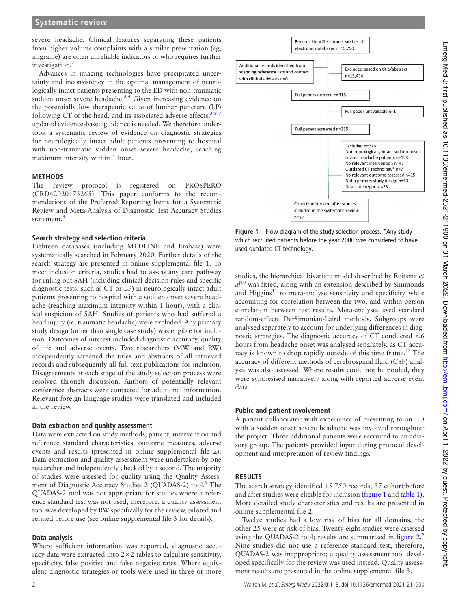severe headache. Clinical features separating these patients from higher volume complaints with a similar presentation (eg, migraine) are often unreliable indicators of who requires further investigation.<sup>2</sup>

Advances in imaging technologies have precipitated uncertainty and inconsistency in the optimal management of neurologically intact patients presenting to the ED with non-traumatic sudden onset severe headache. $3\frac{4}{7}$  Given increasing evidence on the potentially low therapeutic value of lumbar puncture (LP) following CT of the head, and its associated adverse effects,  $3\frac{3}{2}$ updated evidence-based guidance is needed. We therefore undertook a systematic review of evidence on diagnostic strategies for neurologically intact adult patients presenting to hospital with non-traumatic sudden onset severe headache, reaching maximum intensity within 1 hour.

## **METHODS**

The review protocol is registered on PROSPERO (CRD42020173265). This paper conforms to the recommendations of the Preferred Reporting Items for a Systematic Review and Meta- Analysis of Diagnostic Test Accuracy Studies statement.<sup>8</sup>

## **Search strategy and selection criteria**

Eighteen databases (including MEDLINE and Embase) were systematically searched in February 2020. Further details of the search strategy are presented in online supplemental file 1. To meet inclusion criteria, studies had to assess any care pathway for ruling out SAH (including clinical decision rules and specific diagnostic tests, such as CT or LP) in neurologically intact adult patients presenting to hospital with a sudden onset severe headache (reaching maximum intensity within 1 hour), with a clinical suspicion of SAH. Studies of patients who had suffered a head injury (ie, traumatic headache) were excluded. Any primary study design (other than single case study) was eligible for inclusion. Outcomes of interest included diagnostic accuracy, quality of life and adverse events. Two researchers (MW and RW) independently screened the titles and abstracts of all retrieved records and subsequently all full text publications for inclusion. Disagreements at each stage of the study selection process were resolved through discussion. Authors of potentially relevant conference abstracts were contacted for additional information. Relevant foreign language studies were translated and included in the review.

## **Data extraction and quality assessment**

Data were extracted on study methods, patient, intervention and reference standard characteristics, outcome measures, adverse events and results (presented in online supplemental file 2). Data extraction and quality assessment were undertaken by one researcher and independently checked by a second. The majority of studies were assessed for quality using the Quality Assessment of Diagnostic Accuracy Studies 2 (QUADAS-2) tool.<sup>9</sup> The QUADAS-2 tool was not appropriate for studies where a reference standard test was not used, therefore, a quality assessment tool was developed by RW specifically for the review, piloted and refined before use (see online supplemental file 3 for details).

## **Data analysis**

Where sufficient information was reported, diagnostic accuracy data were extracted into 2×2 tables to calculate sensitivity, specificity, false positive and false negative rates. Where equivalent diagnostic strategies or tools were used in three or more



**Figure 1** Flow diagram of the study selection process. \*Any study which recruited patients before the year 2000 was considered to have used outdated CT technology.

studies, the hierarchical bivariate model described by Reitsma *et al*<sup>10</sup> was fitted, along with an extension described by Simmonds and Higgins $11$  to meta-analyse sensitivity and specificity while accounting for correlation between the two, and within-person correlation between test results. Meta-analyses used standard random- effects DerSimonian- Laird methods. Subgroups were analysed separately to account for underlying differences in diagnostic strategies. The diagnostic accuracy of CT conducted <6 hours from headache onset was analysed separately, as CT accuracy is known to drop rapidly outside of this time frame.<sup>12</sup> The accuracy of different methods of cerebrospinal fluid (CSF) analysis was also assessed. Where results could not be pooled, they were synthesised narratively along with reported adverse event data.

## **Public and patient involvement**

A patient collaborator with experience of presenting to an ED with a sudden onset severe headache was involved throughout the project. Three additional patients were recruited to an advisory group. The patients provided input during protocol development and interpretation of review findings.

## **RESULTS**

The search strategy identified 15 750 records; 37 cohort/before and after studies were eligible for inclusion (figure 1 and table 1). More detailed study characteristics and results are presented in online supplemental file 2.

Twelve studies had a low risk of bias for all domains, the other 25 were at risk of bias. Twenty- eight studies were assessed using the QUADAS-2 tool; results are summarised in figure  $2$ . Nine studies did not use a reference standard test, therefore, QUADAS-2 was inappropriate; a quality assessment tool developed specifically for the review was used instead. Quality assessment results are presented in the online supplemental file 3.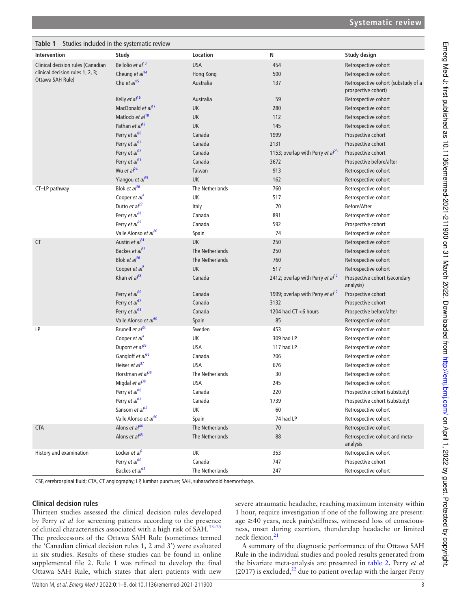| Table 1<br>Studies included in the systematic review |                                  |                 |                                       |                                                            |  |  |  |  |
|------------------------------------------------------|----------------------------------|-----------------|---------------------------------------|------------------------------------------------------------|--|--|--|--|
| Intervention                                         | Study                            | Location        | N                                     | Study design                                               |  |  |  |  |
| Clinical decision rules (Canadian                    | Bellolio et al <sup>13</sup>     | <b>USA</b>      | 454                                   | Retrospective cohort                                       |  |  |  |  |
| clinical decision rules 1, 2, 3;                     | Cheung et $al^{14}$              | Hong Kong       | 500                                   | Retrospective cohort                                       |  |  |  |  |
| Ottawa SAH Rule)                                     | Chu et $al^{15}$                 | Australia       | 137                                   | Retrospective cohort (substudy of a<br>prospective cohort) |  |  |  |  |
|                                                      | Kelly et al <sup>16</sup>        | Australia       | 59                                    | Retrospective cohort                                       |  |  |  |  |
|                                                      | MacDonald et al <sup>17</sup>    | UK              | 280                                   | Retrospective cohort                                       |  |  |  |  |
|                                                      | Matloob et al <sup>18</sup>      | UK              | 112                                   | Retrospective cohort                                       |  |  |  |  |
|                                                      | Pathan et $a^{19}$               | UK              | 145                                   | Retrospective cohort                                       |  |  |  |  |
|                                                      | Perry et al <sup>20</sup>        | Canada          | 1999                                  | Prospective cohort                                         |  |  |  |  |
|                                                      | Perry et $al21$                  | Canada          | 2131                                  | Prospective cohort                                         |  |  |  |  |
|                                                      | Perry et $al22$                  | Canada          | 1153; overlap with Perry et $al^{23}$ | Prospective cohort                                         |  |  |  |  |
|                                                      | Perry et al <sup>23</sup>        | Canada          | 3672                                  | Prospective before/after                                   |  |  |  |  |
|                                                      | Wu et $al24$                     | Taiwan          | 913                                   | Retrospective cohort                                       |  |  |  |  |
|                                                      | Yiangou et al <sup>25</sup>      | UK              | 162                                   | Retrospective cohort                                       |  |  |  |  |
| CT-LP pathway                                        | Blok et $al^{26}$                | The Netherlands | 760                                   | Retrospective cohort                                       |  |  |  |  |
|                                                      | Cooper et $al^7$                 | UK              | 517                                   | Retrospective cohort                                       |  |  |  |  |
|                                                      | Dutto et $al^{27}$               | Italy           | 70                                    | Before/After                                               |  |  |  |  |
|                                                      | Perry et $al^{28}$               | Canada          | 891                                   | Retrospective cohort                                       |  |  |  |  |
|                                                      | Perry et al <sup>29</sup>        | Canada          | 592                                   | Prospective cohort                                         |  |  |  |  |
|                                                      | Valle Alonso et al <sup>30</sup> | Spain           | 74                                    | Retrospective cohort                                       |  |  |  |  |
| CT                                                   | Austin et $a^{31}$               | UK              | 250                                   | Retrospective cohort                                       |  |  |  |  |
|                                                      | Backes et $a^{32}$               | The Netherlands | 250                                   | Retrospective cohort                                       |  |  |  |  |
|                                                      | Blok et $al^{26}$                | The Netherlands | 760                                   | Retrospective cohort                                       |  |  |  |  |
|                                                      | Cooper et $al^7$                 | UK              | 517                                   | Retrospective cohort                                       |  |  |  |  |
|                                                      | Khan et $al^{33}$                | Canada          | 2412; overlap with Perry et $al12$    | Prospective cohort (secondary<br>analysis)                 |  |  |  |  |
|                                                      | Perry <i>et al</i> <sup>20</sup> | Canada          | 1999; overlap with Perry et $al^{12}$ | Prospective cohort                                         |  |  |  |  |
|                                                      | Perry et al <sup>12</sup>        | Canada          | 3132                                  | Prospective cohort                                         |  |  |  |  |
|                                                      | Perry et $al23$                  | Canada          | 1204 had CT <6 hours                  | Prospective before/after                                   |  |  |  |  |
|                                                      | Valle Alonso et al <sup>30</sup> | Spain           | 85                                    | Retrospective cohort                                       |  |  |  |  |
| LP                                                   | Brunell et $a^{34}$              | Sweden          | 453                                   | Retrospective cohort                                       |  |  |  |  |
|                                                      | Cooper et al <sup>7</sup>        | UK              | 309 had LP                            | Retrospective cohort                                       |  |  |  |  |
|                                                      | Dupont et $al^{35}$              | USA             | 117 had LP                            | Retrospective cohort                                       |  |  |  |  |
|                                                      | Gangloff et al <sup>36</sup>     | Canada          | 706                                   | Retrospective cohort                                       |  |  |  |  |
|                                                      | Heiser et $al37$                 | <b>USA</b>      | 676                                   | Retrospective cohort                                       |  |  |  |  |
|                                                      | Horstman et $al^{38}$            | The Netherlands | 30                                    | Retrospective cohort                                       |  |  |  |  |
|                                                      | Migdal et al <sup>39</sup>       | <b>USA</b>      | 245                                   | Retrospective cohort                                       |  |  |  |  |
|                                                      | Perry et al <sup>40</sup>        | Canada          | 220                                   | Prospective cohort (substudy)                              |  |  |  |  |
|                                                      | Perry et al <sup>41</sup>        | Canada          | 1739                                  | Prospective cohort (substudy)                              |  |  |  |  |
|                                                      | Sansom et al <sup>42</sup>       | UK              | 60                                    | Retrospective cohort                                       |  |  |  |  |
|                                                      | Valle Alonso et al <sup>30</sup> | Spain           | 74 had LP                             | Retrospective cohort                                       |  |  |  |  |
| <b>CTA</b>                                           | Alons et al <sup>44</sup>        | The Netherlands | 70                                    | Retrospective cohort                                       |  |  |  |  |
|                                                      | Alons et al <sup>45</sup>        | The Netherlands | 88                                    | Retrospective cohort and meta-<br>analysis                 |  |  |  |  |
| History and examination                              | Locker et $al^2$                 | UK              | 353                                   | Retrospective cohort                                       |  |  |  |  |
|                                                      | Perry et al <sup>46</sup>        | Canada          | 747                                   | Prospective cohort                                         |  |  |  |  |
|                                                      | Backes et al <sup>47</sup>       | The Netherlands | 247                                   | Retrospective cohort                                       |  |  |  |  |

CSF, cerebrospinal fluid; CTA, CT angiography; LP, lumbar puncture; SAH, subarachnoid haemorrhage.

## **Clinical decision rules**

Thirteen studies assessed the clinical decision rules developed by Perry *et al* for screening patients according to the presence of clinical characteristics associated with a high risk of SAH.<sup>13-25</sup> The predecessors of the Ottawa SAH Rule (sometimes termed the 'Canadian clinical decision rules 1, 2 and 3') were evaluated in six studies. Results of these studies can be found in online supplemental file 2. Rule 1 was refined to develop the final Ottawa SAH Rule, which states that alert patients with new

severe atraumatic headache, reaching maximum intensity within 1 hour, require investigation if one of the following are present: age ≥40 years, neck pain/stiffness, witnessed loss of consciousness, onset during exertion, thunderclap headache or limited neck flexion.<sup>21</sup>

A summary of the diagnostic performance of the Ottawa SAH Rule in the individual studies and pooled results generated from the bivariate meta- analysis are presented in table 2. Perry *et al* (2017) is excluded, $^{22}$  due to patient overlap with the larger Perry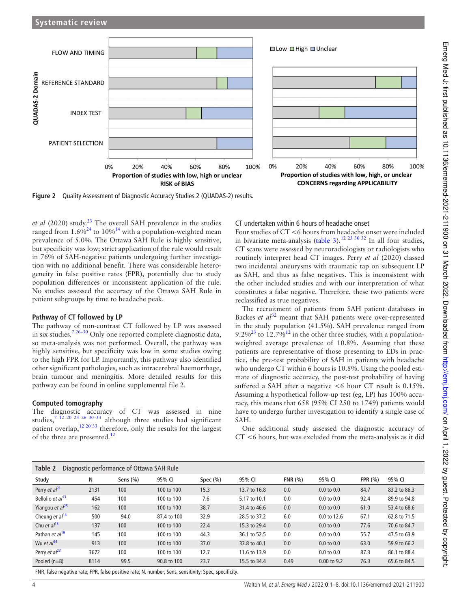

**Figure 2** Quality Assessment of Diagnostic Accuracy Studies 2 (QUADAS-2) results.

*et al* (2020) study.<sup>23</sup> The overall SAH prevalence in the studies ranged from  $1.6\%^{24}$  to  $10\%^{14}$  with a population-weighted mean prevalence of 5.0%. The Ottawa SAH Rule is highly sensitive, but specificity was low; strict application of the rule would result in 76% of SAH-negative patients undergoing further investigation with no additional benefit. There was considerable heterogeneity in false positive rates (FPR), potentially due to study population differences or inconsistent application of the rule. No studies assessed the accuracy of the Ottawa SAH Rule in patient subgroups by time to headache peak.

## **Pathway of CT followed by LP**

The pathway of non-contrast CT followed by LP was assessed in six studies.7 26–30 Only one reported complete diagnostic data, so meta-analysis was not performed. Overall, the pathway was highly sensitive, but specificity was low in some studies owing to the high FPR for LP. Importantly, this pathway also identified other significant pathologies, such as intracerebral haemorrhage, brain tumour and meningitis. More detailed results for this pathway can be found in online supplemental file 2.

## **Computed tomography**

The diagnostic accuracy of CT was assessed in nine studies,<sup>7</sup> <sup>12</sup> <sup>20</sup> <sup>23</sup> <sup>26</sup> <sup>30–33</sup> although three studies had significant patient overlap,<sup>12 20 33</sup> therefore, only the results for the largest of the three are presented.<sup>12</sup>

CT undertaken within 6 hours of headache onset

Four studies of CT <6 hours from headache onset were included in bivariate meta-analysis (table 3).<sup>12 23 30 32</sup> In all four studies, CT scans were assessed by neuroradiologists or radiologists who routinely interpret head CT images. Perry *et al* (2020) classed two incidental aneurysms with traumatic tap on subsequent LP as SAH, and thus as false negatives. This is inconsistent with the other included studies and with our interpretation of what constitutes a false negative. Therefore, these two patients were reclassified as true negatives.

The recruitment of patients from SAH patient databases in Backes *et al*<sup>32</sup> meant that SAH patients were over-represented in the study population (41.5%). SAH prevalence ranged from  $9.2\%^{23}$  to 12.7%<sup>12</sup> in the other three studies, with a populationweighted average prevalence of 10.8%. Assuming that these patients are representative of those presenting to EDs in practice, the pre-test probability of SAH in patients with headache who undergo CT within 6 hours is 10.8%. Using the pooled estimate of diagnostic accuracy, the post-test probability of having suffered a SAH after a negative <6 hour CT result is 0.15%. Assuming a hypothetical follow-up test (eg, LP) has 100% accuracy, this means that 658 (95% CI 250 to 1749) patients would have to undergo further investigation to identify a single case of SAH.

One additional study assessed the diagnostic accuracy of CT <6 hours, but was excluded from the meta-analysis as it did

| Table 2<br>Diagnostic performance of Ottawa SAH Rule |             |             |             |             |              |        |                       |           |              |
|------------------------------------------------------|-------------|-------------|-------------|-------------|--------------|--------|-----------------------|-----------|--------------|
| Study                                                | N           | Sens $(\%)$ | 95% CI      | Spec $(\%)$ | 95% CI       | FNR(%) | 95% CI                | FPR $(%)$ | 95% CI       |
| Perry <i>et al</i> <sup>21</sup>                     | 2131        | 100         | 100 to 100  | 15.3        | 13.7 to 16.8 | 0.0    | $0.0$ to $0.0$        | 84.7      | 83.2 to 86.3 |
| Bellolio et al <sup>13</sup>                         | 454         | 100         | 100 to 100  | 7.6         | 5.17 to 10.1 | 0.0    | $0.0$ to $0.0$        | 92.4      | 89.9 to 94.8 |
| Yiangou et al <sup>25</sup>                          | 162         | 100         | 100 to 100  | 38.7        | 31.4 to 46.6 | 0.0    | $0.0$ to $0.0$        | 61.0      | 53.4 to 68.6 |
| Cheung et $al^{14}$                                  | 500         | 94.0        | 87.4 to 100 | 32.9        | 28.5 to 37.2 | 6.0    | 0.0 to 12.6           | 67.1      | 62.8 to 71.5 |
| Chu et $al^{15}$                                     | 137         | 100         | 100 to 100  | 22.4        | 15.3 to 29.4 | 0.0    | $0.0 \text{ to } 0.0$ | 77.6      | 70.6 to 84.7 |
| Pathan et al <sup>19</sup>                           | 145         | 100         | 100 to 100  | 44.3        | 36.1 to 52.5 | 0.0    | $0.0 \text{ to } 0.0$ | 55.7      | 47.5 to 63.9 |
| Wu et $al^{24}$                                      | 913         | 100         | 100 to 100  | 37.0        | 33.8 to 40.1 | 0.0    | $0.0 \text{ to } 0.0$ | 63.0      | 59.9 to 66.2 |
| Perry <i>et al</i> <sup>23</sup>                     | 3672        | 100         | 100 to 100  | 12.7        | 11.6 to 13.9 | 0.0    | $0.0 \text{ to } 0.0$ | 87.3      | 86.1 to 88.4 |
| Pooled $(n=8)$                                       | 8114        | 99.5        | 90.8 to 100 | 23.7        | 15.5 to 34.4 | 0.49   | 0.00 to 9.2           | 76.3      | 65.6 to 84.5 |
| $-1.12$                                              | $-0.5$ $-1$ |             | $\sim$      |             | $\mathbf{r}$ |        |                       |           |              |

FNR, false negative rate; FPR, false positive rate; N, number; Sens, sensitivity; Spec, specificity.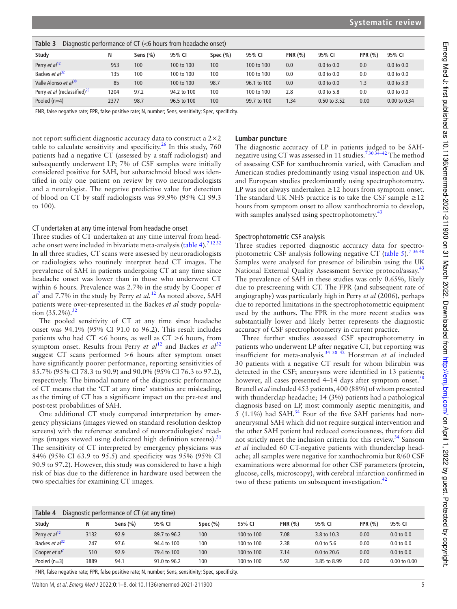| Table 3<br>Diagnostic performance of $CT$ ( $<$ 6 hours from headache onset) |      |            |             |             |             |         |                |                |                |  |
|------------------------------------------------------------------------------|------|------------|-------------|-------------|-------------|---------|----------------|----------------|----------------|--|
| Study                                                                        | N    | Sens $(%)$ | 95% CI      | Spec $(\%)$ | 95% CI      | FNR(96) | 95% CI         | <b>FPR (%)</b> | 95% CI         |  |
| Perry <i>et al</i> <sup>12</sup>                                             | 953  | 100        | 100 to 100  | 100         | 100 to 100  | 0.0     | $0.0$ to $0.0$ | 0.0            | $0.0$ to $0.0$ |  |
| Backes <i>et al</i> <sup>32</sup>                                            | 135  | 100        | 100 to 100  | 100         | 100 to 100  | 0.0     | $0.0$ to $0.0$ | 0.0            | $0.0$ to $0.0$ |  |
| Valle Alonso et al <sup>30</sup>                                             | 85   | 100        | 100 to 100  | 98.7        | 96.1 to 100 | 0.0     | $0.0$ to $0.0$ | 1.3            | $0.0$ to $3.9$ |  |
| Perry et al (reclassified) <sup>23</sup>                                     | 1204 | 97.2       | 94.2 to 100 | 100         | 100 to 100  | 2.8     | $0.0$ to 5.8   | 0.0            | $0.0$ to $0.0$ |  |
| Pooled $(n=4)$                                                               | 2377 | 98.7       | 96.5 to 100 | 100         | 99.7 to 100 | .34     | 0.50 to 3.52   | 0.00           | 0.00 to 0.34   |  |

FNR, false negative rate; FPR, false positive rate; N, number; Sens, sensitivity; Spec, specificity.

not report sufficient diagnostic accuracy data to construct a 2×2 table to calculate sensitivity and specificity.<sup>26</sup> In this study,  $760$ patients had a negative CT (assessed by a staff radiologist) and subsequently underwent LP; 7% of CSF samples were initially considered positive for SAH, but subarachnoid blood was identified in only one patient on review by two neuroradiologists and a neurologist. The negative predictive value for detection of blood on CT by staff radiologists was 99.9% (95% CI 99.3 to 100).

## CT undertaken at any time interval from headache onset

Three studies of CT undertaken at any time interval from headache onset were included in bivariate meta-analysis (table 4). $71232$ In all three studies, CT scans were assessed by neuroradiologists or radiologists who routinely interpret head CT images. The prevalence of SAH in patients undergoing CT at any time since headache onset was lower than in those who underwent CT within 6 hours. Prevalence was 2.7% in the study by Cooper *et al*<sup>7</sup> and 7.7% in the study by Perry *et al.*<sup>12</sup> As noted above, SAH patients were over- represented in the Backes *et al* study population  $(35.2\%)$ .<sup>32</sup>

The pooled sensitivity of CT at any time since headache onset was 94.1% (95% CI 91.0 to 96.2). This result includes patients who had  $CT < 6$  hours, as well as  $CT > 6$  hours, from symptom onset. Results from Perry *et al*<sup>12</sup> and Backes *et al*<sup>32</sup> suggest CT scans performed >6 hours after symptom onset have significantly poorer performance, reporting sensitivities of 85.7% (95% CI 78.3 to 90.9) and 90.0% (95% CI 76.3 to 97.2), respectively. The bimodal nature of the diagnostic performance of CT means that the 'CT at any time' statistics are misleading, as the timing of CT has a significant impact on the pre- test and post- test probabilities of SAH.

One additional CT study compared interpretation by emergency physicians (images viewed on standard resolution desktop screens) with the reference standard of neuroradiologists' readings (images viewed using dedicated high definition screens). $31$ The sensitivity of CT interpreted by emergency physicians was 84% (95% CI 63.9 to 95.5) and specificity was 95% (95% CI 90.9 to 97.2). However, this study was considered to have a high risk of bias due to the difference in hardware used between the two specialties for examining CT images.

## **Lumbar puncture**

The diagnostic accuracy of LP in patients judged to be SAHnegative using CT was assessed in 11 studies.<sup> $730\frac{34-42}{1}$ </sup> The method of assessing CSF for xanthochromia varied, with Canadian and American studies predominantly using visual inspection and UK and European studies predominantly using spectrophotometry. LP was not always undertaken  $\geq$  12 hours from symptom onset. The standard UK NHS practice is to take the CSF sample  $\geq$ 12 hours from symptom onset to allow xanthochromia to develop, with samples analysed using spectrophotometry.<sup>43</sup>

#### Spectrophotometric CSF analysis

Three studies reported diagnostic accuracy data for spectrophotometric CSF analysis following negative CT (table  $5$ ).<sup>73640</sup> Samples were analysed for presence of bilirubin using the UK National External Quality Assessment Service protocol/assay.<sup>43</sup> The prevalence of SAH in these studies was only 0.65%, likely due to prescreening with CT. The FPR (and subsequent rate of angiography) was particularly high in Perry *et al* (2006), perhaps due to reported limitations in the spectrophotometric equipment used by the authors. The FPR in the more recent studies was substantially lower and likely better represents the diagnostic accuracy of CSF spectrophotometry in current practice.

Three further studies assessed CSF spectrophotometry in patients who underwent LP after negative CT, but reporting was insufficient for meta-analysis.<sup>34 38 42</sup> Horstman *et al* included 30 patients with a negative CT result for whom bilirubin was detected in the CSF; aneurysms were identified in 13 patients; however, all cases presented 4-14 days after symptom onset.<sup>38</sup> Brunell *et al* included 453 patients, 400 (88%) of whom presented with thunderclap headache; 14 (3%) patients had a pathological diagnosis based on LP, most commonly aseptic meningitis, and 5 (1.1%) had SAH. $^{34}$  Four of the five SAH patients had nonaneurysmal SAH which did not require surgical intervention and the other SAH patient had reduced consciousness, therefore did not strictly meet the inclusion criteria for this review.<sup>34</sup> Sansom et al included 60 CT-negative patients with thunderclap headache; all samples were negative for xanthochromia but 8/60 CSF examinations were abnormal for other CSF parameters (protein, glucose, cells, microscopy), with cerebral infarction confirmed in two of these patients on subsequent investigation.<sup>42</sup>

| Table 4<br>Diagnostic performance of CT (at any time) |                                                                                                            |             |              |             |            |        |                       |                |                  |  |
|-------------------------------------------------------|------------------------------------------------------------------------------------------------------------|-------------|--------------|-------------|------------|--------|-----------------------|----------------|------------------|--|
| Study                                                 | N                                                                                                          | Sens $(\%)$ | 95% CI       | Spec $(\%)$ | 95% CI     | FNR(%) | 95% CI                | <b>FPR (%)</b> | 95% CI           |  |
| Perry et $al^{12}$                                    | 3132                                                                                                       | 92.9        | 89.7 to 96.2 | 100         | 100 to 100 | 7.08   | 3.8 to 10.3           | 0.00           | $0.0$ to $0.0$   |  |
| Backes <i>et</i> $a^{32}$                             | 247                                                                                                        | 97.6        | 94.4 to 100  | 100         | 100 to 100 | 2.38   | $0.0 \text{ to } 5.6$ | 0.00           | $0.0$ to $0.0$   |  |
| Cooper et al'                                         | 510                                                                                                        | 92.9        | 79.4 to 100  | 100         | 100 to 100 | 7.14   | 0.0 to 20.6           | 0.00           | $0.0$ to $0.0$   |  |
| Pooled $(n=3)$                                        | 3889                                                                                                       | 94.1        | 91.0 to 96.2 | 100         | 100 to 100 | 5.92   | 3.85 to 8.99          | 0.00           | $0.00$ to $0.00$ |  |
|                                                       | THE LIFE COULD CONTROLLED THE LIFE COULD CONTROL IN COULD COULD COULD IN CHAIR COULD IN THE COULD INTEREST |             |              |             |            |        |                       |                |                  |  |

FNR, false negative rate; FPR, false positive rate; N, number; Sens, sensitivity; Spec, specificity.

Walton M, et al. Emerg Med J 2022;**0**:1–8. doi:10.1136/emermed-2021-211900 5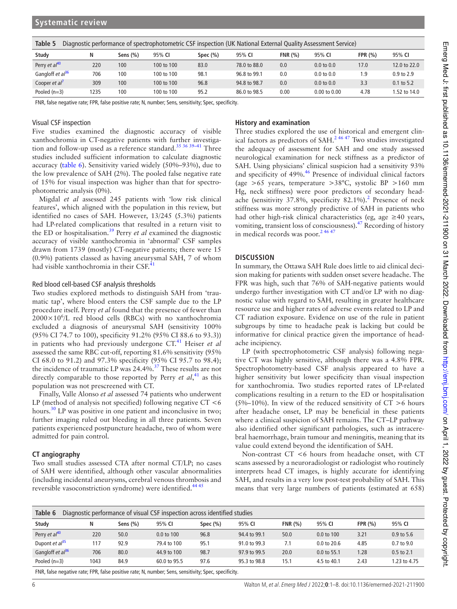| Table 5<br>Diagnostic performance of spectrophotometric CSF inspection (UK National External Quality Assessment Service) |      |              |            |             |              |        |                       |            |                |  |
|--------------------------------------------------------------------------------------------------------------------------|------|--------------|------------|-------------|--------------|--------|-----------------------|------------|----------------|--|
| Study                                                                                                                    | N    | Sens $(\% )$ | 95% CI     | Spec $(\%)$ | 95% CI       | FNR(%) | 95% CI                | FPR $(% )$ | 95% CI         |  |
| Perry <i>et al</i> <sup>40</sup>                                                                                         | 220  | 100          | 100 to 100 | 83.0        | 78.0 to 88.0 | 0.0    | $0.0 \text{ to } 0.0$ | 17.0       | 12.0 to 22.0   |  |
| Gangloff et al <sup>36</sup>                                                                                             | 706  | 100          | 100 to 100 | 98.1        | 96.8 to 99.1 | 0.0    | $0.0 \text{ to } 0.0$ | و. ا       | $0.9$ to $2.9$ |  |
| Cooper et al'                                                                                                            | 309  | 100          | 100 to 100 | 96.8        | 94.8 to 98.7 | 0.0    | $0.0 \text{ to } 0.0$ | 3.3        | $0.1$ to 5.2   |  |
| Pooled $(n=3)$                                                                                                           | 1235 | 100          | 100 to 100 | 95.2        | 86.0 to 98.5 | 0.00   | $0.00$ to $0.00$      | 4.78       | 1.52 to 14.0   |  |

FNR, false negative rate; FPR, false positive rate; N, number; Sens, sensitivity; Spec, specificity.

#### Visual CSF inspection

Five studies examined the diagnostic accuracy of visible xanthochromia in CT-negative patients with further investigation and follow-up used as a reference standard.<sup>35 36 39-41</sup> Three studies included sufficient information to calculate diagnostic accuracy (table 6). Sensitivity varied widely (50%–93%), due to the low prevalence of SAH (2%). The pooled false negative rate of 15% for visual inspection was higher than that for spectrophotometric analysis (0%).

Migdal *et al* assessed 245 patients with 'low risk clinical features', which aligned with the population in this review, but identified no cases of SAH. However, 13/245 (5.3%) patients had LP-related complications that resulted in a return visit to the ED or hospitalisation.<sup>39</sup> Perry *et al* examined the diagnostic accuracy of visible xanthochromia in 'abnormal' CSF samples drawn from 1739 (mostly) CT-negative patients; there were 15 (0.9%) patients classed as having aneurysmal SAH, 7 of whom had visible xanthochromia in their CSF.<sup>41</sup>

#### Red blood cell-based CSF analysis thresholds

Two studies explored methods to distinguish SAH from 'traumatic tap', where blood enters the CSF sample due to the LP procedure itself. Perry *et al* found that the presence of fewer than  $2000 \times 10^6$ /L red blood cells (RBCs) with no xanthochromia excluded a diagnosis of aneurysmal SAH (sensitivity 100% (95% CI 74.7 to 100), specificity 91.2% (95% CI 88.6 to 93.3)) in patients who had previously undergone CT.<sup>41</sup> Heiser *et al* assessed the same RBC cut-off, reporting 81.6% sensitivity (95%) CI 68.0 to 91.2) and 97.3% specificity (95% CI 95.7 to 98.4); the incidence of traumatic LP was 24.4%.<sup>37</sup> These results are not directly comparable to those reported by Perry *et al*, <sup>41</sup> as this population was not prescreened with CT.

Finally, Valle Alonso *et al* assessed 74 patients who underwent LP (method of analysis not specified) following negative  $CT < 6$ hours.<sup>30</sup> LP was positive in one patient and inconclusive in two; further imaging ruled out bleeding in all three patients. Seven patients experienced postpuncture headache, two of whom were admitted for pain control.

## **CT angiography**

Two small studies assessed CTA after normal CT/LP; no cases of SAH were identified, although other vascular abnormalities (including incidental aneurysms, cerebral venous thrombosis and reversible vasoconstriction syndrome) were identified.<sup>44 45</sup>

## **History and examination**

Three studies explored the use of historical and emergent clinical factors as predictors of SAH.<sup>2 46 47</sup> Two studies investigated the adequacy of assessment for SAH and one study assessed neurological examination for neck stiffness as a predictor of SAH. Using physicians' clinical suspicion had a sensitivity 93% and specificity of 49%.<sup>46</sup> Presence of individual clinical factors (age >65 years, temperature >38**°**C, systolic BP >160 mm Hg, neck stiffness) were poor predictors of secondary headache (sensitivity 37.8%, specificity 82.1%).<sup>2</sup> Presence of neck stiffness was more strongly predictive of SAH in patients who had other high-risk clinical characteristics (eg, age  $\geq$  40 years, vomiting, transient loss of consciousness).<sup>47</sup> Recording of history in medical records was poor. $2\frac{4647}{2}$ 

#### **DISCUSSION**

In summary, the Ottawa SAH Rule does little to aid clinical decision making for patients with sudden onset severe headache. The FPR was high, such that 76% of SAH-negative patients would undergo further investigation with CT and/or LP with no diagnostic value with regard to SAH, resulting in greater healthcare resource use and higher rates of adverse events related to LP and CT radiation exposure. Evidence on use of the rule in patient subgroups by time to headache peak is lacking but could be informative for clinical practice given the importance of headache incipiency.

LP (with spectrophotometric CSF analysis) following negative CT was highly sensitive, although there was a 4.8% FPR. Spectrophotometry-based CSF analysis appeared to have a higher sensitivity but lower specificity than visual inspection for xanthochromia. Two studies reported rates of LP-related complications resulting in a return to the ED or hospitalisation (5%–10%). In view of the reduced sensitivity of  $CT > 6$  hours after headache onset, LP may be beneficial in these patients where a clinical suspicion of SAH remains. The CT–LP pathway also identified other significant pathologies, such as intracerebral haemorrhage, brain tumour and meningitis, meaning that its value could extend beyond the identification of SAH.

Non- contrast CT <6 hours from headache onset, with CT scans assessed by a neuroradiologist or radiologist who routinely interprets head CT images, is highly accurate for identifying SAH, and results in a very low post-test probability of SAH. This means that very large numbers of patients (estimated at 658)

| Table 6<br>Diagnostic performance of visual CSF inspection across identified studies |                                                                                                 |             |                       |             |              |         |             |                |              |  |
|--------------------------------------------------------------------------------------|-------------------------------------------------------------------------------------------------|-------------|-----------------------|-------------|--------------|---------|-------------|----------------|--------------|--|
| Study                                                                                | Ν                                                                                               | Sens $(\%)$ | 95% CI                | Spec $(\%)$ | 95% CI       | FNR(96) | 95% CI      | <b>FPR (%)</b> | 95% CI       |  |
| Perry et al <sup>40</sup>                                                            | 220                                                                                             | 50.0        | $0.0 \text{ to } 100$ | 96.8        | 94.4 to 99.1 | 50.0    | 0.0 to 100  | 3.21           | 0.9 to 5.6   |  |
| Dupont et $a^{35}$                                                                   | 117                                                                                             | 92.9        | 79.4 to 100           | 95.1        | 91.0 to 99.3 | 7.1     | 0.0 to 20.6 | 4.85           | 0.7 to 9.0   |  |
| Gangloff et $a^{36}$                                                                 | 706                                                                                             | 80.0        | 44.9 to 100           | 98.7        | 97.9 to 99.5 | 20.0    | 0.0 to 55.1 | 1.28           | 0.5 to 2.1   |  |
| Pooled $(n=3)$                                                                       | 1043                                                                                            | 84.9        | 60.0 to 95.5          | 97.6        | 95.3 to 98.8 | 15.1    | 4.5 to 40.1 | 2.43           | 1.23 to 4.75 |  |
|                                                                                      | END folco nogotivo rato: EDD folco nogitivo rato: N. number: Canc concitivity: Canc conciticity |             |                       |             |              |         |             |                |              |  |

FNR, false negative rate; FPR, false positive rate; N, number; Sens, sensitivity; Spec, specificity.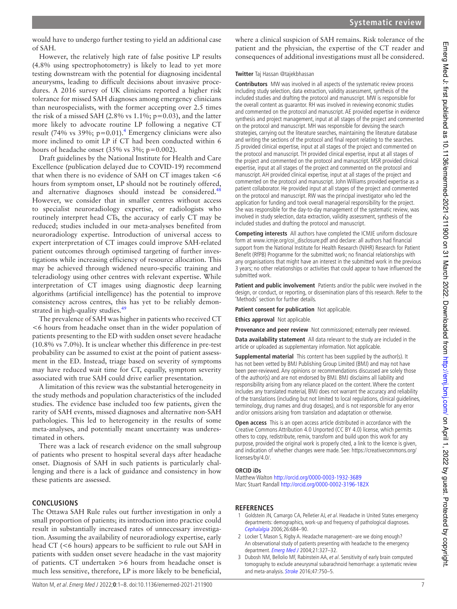would have to undergo further testing to yield an additional case of SAH.

However, the relatively high rate of false positive LP results (4.8% using spectrophotometry) is likely to lead to yet more testing downstream with the potential for diagnosing incidental aneurysms, leading to difficult decisions about invasive procedures. A 2016 survey of UK clinicians reported a higher risk tolerance for missed SAH diagnoses among emergency clinicians than neurospecialists, with the former accepting over 2.5 times the risk of a missed SAH (2.8% vs  $1.1\%$ ;  $p=0.03$ ), and the latter more likely to advocate routine LP following a negative CT result (74% vs 39%;  $p=0.01$ ).<sup>4</sup> Emergency clinicians were also more inclined to omit LP if CT had been conducted within 6 hours of headache onset  $(35\% \text{ vs } 3\%; \text{ p}=0.002)$ .

Draft guidelines by the National Institute for Health and Care Excellence (publication delayed due to COVID-19) recommend that when there is no evidence of SAH on CT images taken  $<6$ hours from symptom onset, LP should not be routinely offered, and alternative diagnoses should instead be considered.<sup>48</sup> However, we consider that in smaller centres without access to specialist neuroradiology expertise, or radiologists who routinely interpret head CTs, the accuracy of early CT may be reduced; studies included in our meta-analyses benefited from neuroradiology expertise. Introduction of universal access to expert interpretation of CT images could improve SAH- related patient outcomes through optimised targeting of further investigations while increasing efficiency of resource allocation. This may be achieved through widened neuro-specific training and teleradiology using other centres with relevant expertise. While interpretation of CT images using diagnostic deep learning algorithms (artificial intelligence) has the potential to improve consistency across centres, this has yet to be reliably demonstrated in high-quality studies.<sup>49</sup>

The prevalence of SAH was higher in patients who received CT <6 hours from headache onset than in the wider population of patients presenting to the ED with sudden onset severe headache (10.8% vs 7.0%). It is unclear whether this difference in pre- test probability can be assumed to exist at the point of patient assessment in the ED. Instead, triage based on severity of symptoms may have reduced wait time for CT, equally, symptom severity associated with true SAH could drive earlier presentation.

A limitation of this review was the substantial heterogeneity in the study methods and population characteristics of the included studies. The evidence base included too few patients, given the rarity of SAH events, missed diagnoses and alternative non-SAH pathologies. This led to heterogeneity in the results of some meta- analyses, and potentially meant uncertainty was underestimated in others.

There was a lack of research evidence on the small subgroup of patients who present to hospital several days after headache onset. Diagnosis of SAH in such patients is particularly challenging and there is a lack of guidance and consistency in how these patients are assessed.

## **CONCLUSIONS**

The Ottawa SAH Rule rules out further investigation in only a small proportion of patients; its introduction into practice could result in substantially increased rates of unnecessary investigation. Assuming the availability of neuroradiology expertise, early head CT (<6 hours) appears to be sufficient to rule out SAH in patients with sudden onset severe headache in the vast majority of patients. CT undertaken >6 hours from headache onset is much less sensitive, therefore, LP is more likely to be beneficial,

where a clinical suspicion of SAH remains. Risk tolerance of the patient and the physician, the expertise of the CT reader and consequences of additional investigations must all be considered.

## **Twitter** Taj Hassan @tajekbhassan

**Contributors** MW was involved in all aspects of the systematic review process including study selection, data extraction, validity assessment, synthesis of the included studies and drafting the protocol and manuscript. MW is responsible for the overall content as guarantor. RH was involved in reviewing economic studies and commented on the protocol and manuscript. AE provided expertise in evidence synthesis and project management, input at all stages of the project and commented on the protocol and manuscript. MH was responsible for devising the search strategies, carrying out the literature searches, maintaining the literature database and writing the sections of the protocol and final report relating to the searches. JS provided clinical expertise, input at all stages of the project and commented on the protocol and manuscript. TH provided clinical expertise, input at all stages of the project and commented on the protocol and manuscript. MSR provided clinical expertise, input at all stages of the project and commented on the protocol and manuscript. AH provided clinical expertise, input at all stages of the project and commented on the protocol and manuscript. John Williams provided expertise as a patient collaborator. He provided input at all stages of the project and commented on the protocol and manuscript. RW was the principal investigator who led the application for funding and took overall managerial responsibility for the project. She was responsible for the day-to-day management of the systematic review, was involved in study selection, data extraction, validity assessment, synthesis of the included studies and drafting the protocol and manuscript.

**Competing interests** All authors have completed the ICMJE uniform disclosure form at www.icmje.org/coi\_disclosure.pdf and declare: all authors had financial support from the National Institute for Health Research (NIHR) Research for Patient Benefit (RfPB) Programme for the submitted work; no financial relationships with any organisations that might have an interest in the submitted work in the previous 3 years; no other relationships or activities that could appear to have influenced the submitted work.

**Patient and public involvement** Patients and/or the public were involved in the design, or conduct, or reporting, or dissemination plans of this research. Refer to the 'Methods' section for further details.

**Patient consent for publication** Not applicable.

**Ethics approval** Not applicable.

**Provenance and peer review** Not commissioned; externally peer reviewed.

**Data availability statement** All data relevant to the study are included in the article or uploaded as supplementary information. Not applicable.

**Supplemental material** This content has been supplied by the author(s). It has not been vetted by BMJ Publishing Group Limited (BMJ) and may not have been peer- reviewed. Any opinions or recommendations discussed are solely those of the author(s) and are not endorsed by BMJ. BMJ disclaims all liability and responsibility arising from any reliance placed on the content. Where the content includes any translated material, BMJ does not warrant the accuracy and reliability of the translations (including but not limited to local regulations, clinical guidelines, terminology, drug names and drug dosages), and is not responsible for any error and/or omissions arising from translation and adaptation or otherwise.

**Open access** This is an open access article distributed in accordance with the Creative Commons Attribution 4.0 Unported (CC BY 4.0) license, which permits others to copy, redistribute, remix, transform and build upon this work for any purpose, provided the original work is properly cited, a link to the licence is given, and indication of whether changes were made. See: https://creativecommons.org/ licenses/by/4.0/.

## **ORCID iDs**

Matthew Walton http://orcid.org/0000-0003-1932-3689 Marc Stuart Randall http://orcid.org/0000-0002-3196-182X

# **REFERENCES**

- 1 Goldstein JN, Camargo CA, Pelletier AJ, et al. Headache in United States emergency departments: demographics, work- up and frequency of pathological diagnoses. Cephalalgia 2006;26:684–90.
- 2 Locker T, Mason S, Rigby A. Headache management--are we doing enough? An observational study of patients presenting with headache to the emergency department. Emerg Med J 2004;21:327–32.
- 3 Dubosh NM, Bellolio MF, Rabinstein AA, et al. Sensitivity of early brain computed tomography to exclude aneurysmal subarachnoid hemorrhage: a systematic review and meta-analysis. **Stroke** 2016;47:750-5.